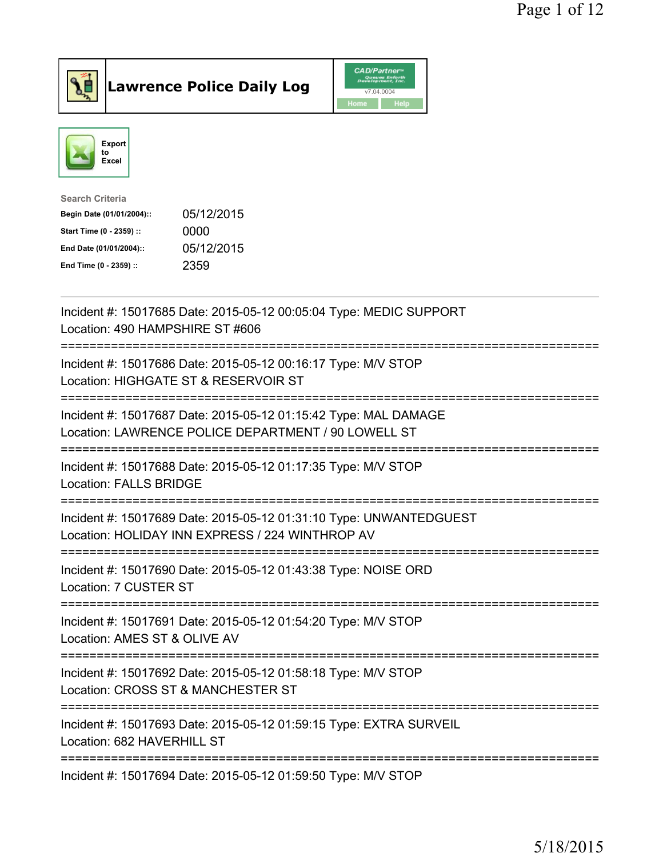





| <b>Search Criteria</b>    |            |
|---------------------------|------------|
| Begin Date (01/01/2004):: | 05/12/2015 |
| Start Time (0 - 2359) ::  | 0000       |
| End Date (01/01/2004)::   | 05/12/2015 |
| End Time (0 - 2359) ::    | 2359       |
|                           |            |

| Incident #: 15017685 Date: 2015-05-12 00:05:04 Type: MEDIC SUPPORT<br>Location: 490 HAMPSHIRE ST #606                                                        |
|--------------------------------------------------------------------------------------------------------------------------------------------------------------|
| Incident #: 15017686 Date: 2015-05-12 00:16:17 Type: M/V STOP<br>Location: HIGHGATE ST & RESERVOIR ST                                                        |
| Incident #: 15017687 Date: 2015-05-12 01:15:42 Type: MAL DAMAGE<br>Location: LAWRENCE POLICE DEPARTMENT / 90 LOWELL ST                                       |
| Incident #: 15017688 Date: 2015-05-12 01:17:35 Type: M/V STOP<br><b>Location: FALLS BRIDGE</b>                                                               |
| Incident #: 15017689 Date: 2015-05-12 01:31:10 Type: UNWANTEDGUEST<br>Location: HOLIDAY INN EXPRESS / 224 WINTHROP AV                                        |
| :===============================<br>Incident #: 15017690 Date: 2015-05-12 01:43:38 Type: NOISE ORD<br>Location: 7 CUSTER ST                                  |
| .----------------<br>Incident #: 15017691 Date: 2015-05-12 01:54:20 Type: M/V STOP<br>Location: AMES ST & OLIVE AV                                           |
| Incident #: 15017692 Date: 2015-05-12 01:58:18 Type: M/V STOP<br>Location: CROSS ST & MANCHESTER ST                                                          |
| ========================<br>----------------------------<br>Incident #: 15017693 Date: 2015-05-12 01:59:15 Type: EXTRA SURVEIL<br>Location: 682 HAVERHILL ST |
| Incident #: 15017694 Date: 2015-05-12 01:59:50 Type: M/V STOP                                                                                                |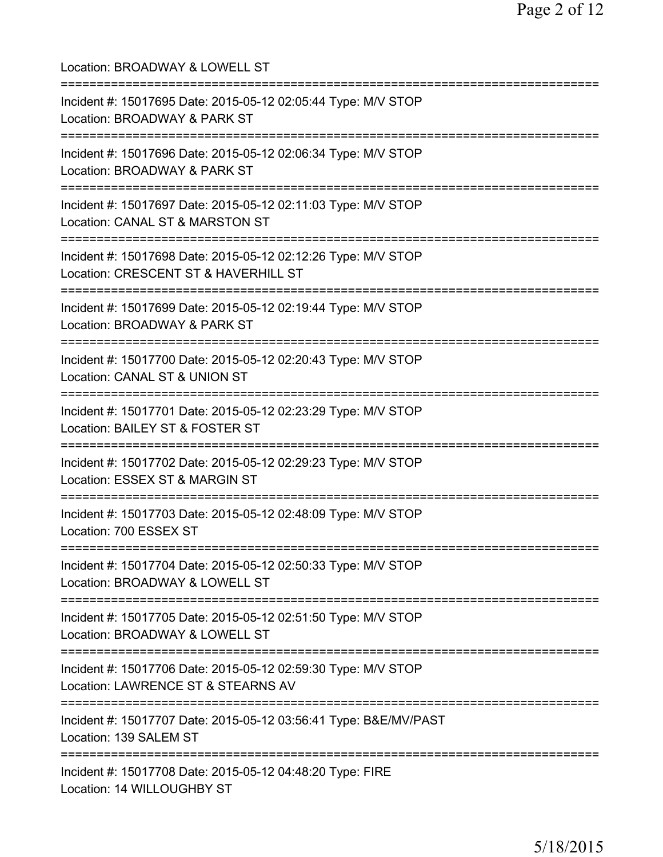| Location: BROADWAY & LOWELL ST                                                                                                     |
|------------------------------------------------------------------------------------------------------------------------------------|
| Incident #: 15017695 Date: 2015-05-12 02:05:44 Type: M/V STOP<br>Location: BROADWAY & PARK ST                                      |
| Incident #: 15017696 Date: 2015-05-12 02:06:34 Type: M/V STOP<br>Location: BROADWAY & PARK ST                                      |
| Incident #: 15017697 Date: 2015-05-12 02:11:03 Type: M/V STOP<br>Location: CANAL ST & MARSTON ST<br>===========================    |
| Incident #: 15017698 Date: 2015-05-12 02:12:26 Type: M/V STOP<br>Location: CRESCENT ST & HAVERHILL ST                              |
| Incident #: 15017699 Date: 2015-05-12 02:19:44 Type: M/V STOP<br>Location: BROADWAY & PARK ST                                      |
| Incident #: 15017700 Date: 2015-05-12 02:20:43 Type: M/V STOP<br>Location: CANAL ST & UNION ST<br>---------------------            |
| Incident #: 15017701 Date: 2015-05-12 02:23:29 Type: M/V STOP<br>Location: BAILEY ST & FOSTER ST<br>==========================     |
| Incident #: 15017702 Date: 2015-05-12 02:29:23 Type: M/V STOP<br>Location: ESSEX ST & MARGIN ST                                    |
| Incident #: 15017703 Date: 2015-05-12 02:48:09 Type: M/V STOP<br>Location: 700 ESSEX ST                                            |
| Incident #: 15017704 Date: 2015-05-12 02:50:33 Type: M/V STOP<br>Location: BROADWAY & LOWELL ST                                    |
| ===============================<br>Incident #: 15017705 Date: 2015-05-12 02:51:50 Type: M/V STOP<br>Location: BROADWAY & LOWELL ST |
| =========================<br>Incident #: 15017706 Date: 2015-05-12 02:59:30 Type: M/V STOP<br>Location: LAWRENCE ST & STEARNS AV   |
| ===================================<br>Incident #: 15017707 Date: 2015-05-12 03:56:41 Type: B&E/MV/PAST<br>Location: 139 SALEM ST  |
| Incident #: 15017708 Date: 2015-05-12 04:48:20 Type: FIRE<br>Location: 14 WILLOUGHBY ST                                            |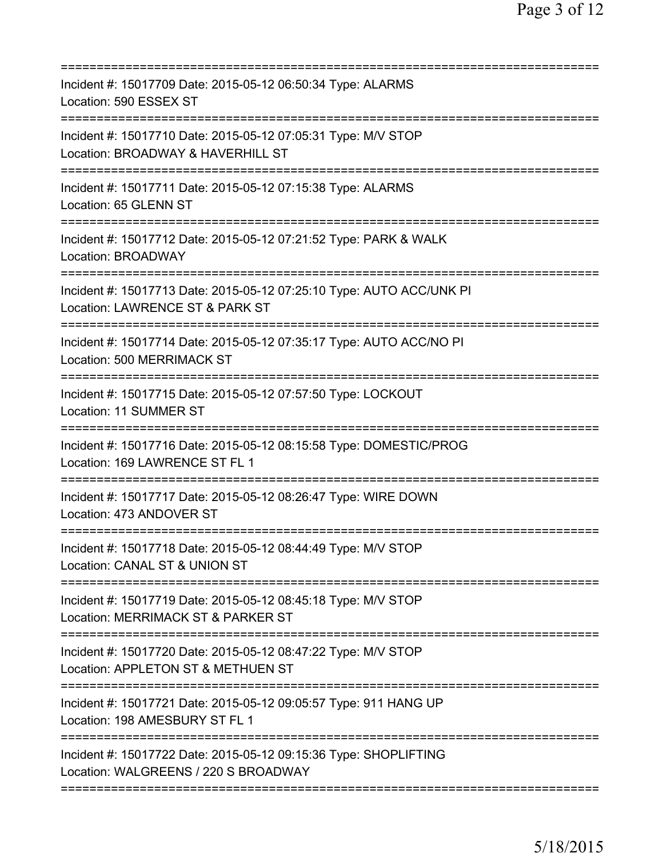| Incident #: 15017709 Date: 2015-05-12 06:50:34 Type: ALARMS<br>Location: 590 ESSEX ST                                                  |
|----------------------------------------------------------------------------------------------------------------------------------------|
| Incident #: 15017710 Date: 2015-05-12 07:05:31 Type: M/V STOP<br>Location: BROADWAY & HAVERHILL ST                                     |
| Incident #: 15017711 Date: 2015-05-12 07:15:38 Type: ALARMS<br>Location: 65 GLENN ST                                                   |
| Incident #: 15017712 Date: 2015-05-12 07:21:52 Type: PARK & WALK<br><b>Location: BROADWAY</b>                                          |
| Incident #: 15017713 Date: 2015-05-12 07:25:10 Type: AUTO ACC/UNK PI<br>Location: LAWRENCE ST & PARK ST                                |
| Incident #: 15017714 Date: 2015-05-12 07:35:17 Type: AUTO ACC/NO PI<br>Location: 500 MERRIMACK ST                                      |
| Incident #: 15017715 Date: 2015-05-12 07:57:50 Type: LOCKOUT<br><b>Location: 11 SUMMER ST</b>                                          |
| Incident #: 15017716 Date: 2015-05-12 08:15:58 Type: DOMESTIC/PROG<br>Location: 169 LAWRENCE ST FL 1                                   |
| Incident #: 15017717 Date: 2015-05-12 08:26:47 Type: WIRE DOWN<br>Location: 473 ANDOVER ST                                             |
| Incident #: 15017718 Date: 2015-05-12 08:44:49 Type: M/V STOP<br>Location: CANAL ST & UNION ST                                         |
| Incident #: 15017719 Date: 2015-05-12 08:45:18 Type: M/V STOP<br>Location: MERRIMACK ST & PARKER ST<br>=============================== |
| Incident #: 15017720 Date: 2015-05-12 08:47:22 Type: M/V STOP<br>Location: APPLETON ST & METHUEN ST                                    |
| Incident #: 15017721 Date: 2015-05-12 09:05:57 Type: 911 HANG UP<br>Location: 198 AMESBURY ST FL 1                                     |
| Incident #: 15017722 Date: 2015-05-12 09:15:36 Type: SHOPLIFTING<br>Location: WALGREENS / 220 S BROADWAY                               |
|                                                                                                                                        |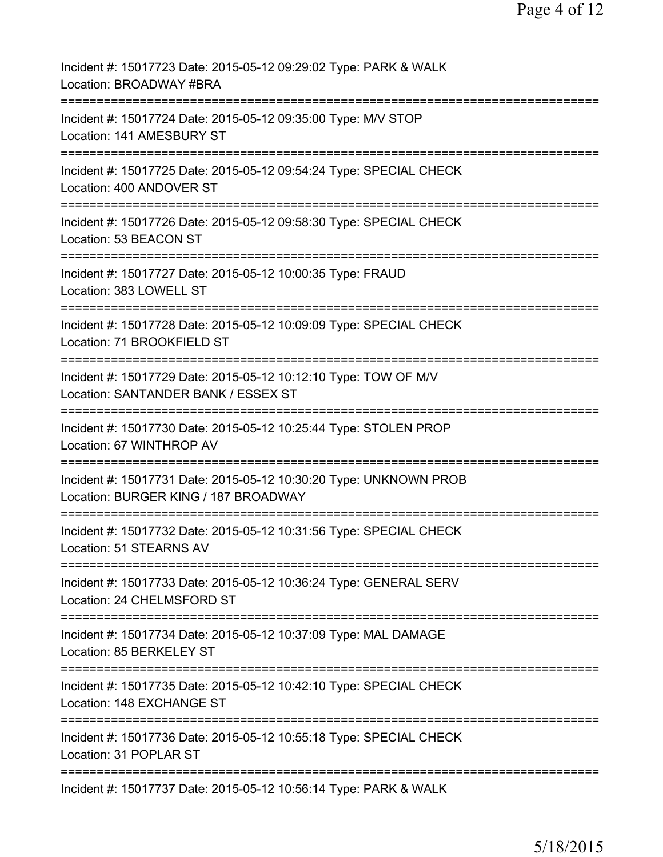| Incident #: 15017723 Date: 2015-05-12 09:29:02 Type: PARK & WALK<br>Location: BROADWAY #BRA                                                     |
|-------------------------------------------------------------------------------------------------------------------------------------------------|
| ====================<br>:========================<br>Incident #: 15017724 Date: 2015-05-12 09:35:00 Type: M/V STOP<br>Location: 141 AMESBURY ST |
| Incident #: 15017725 Date: 2015-05-12 09:54:24 Type: SPECIAL CHECK<br>Location: 400 ANDOVER ST                                                  |
| Incident #: 15017726 Date: 2015-05-12 09:58:30 Type: SPECIAL CHECK<br>Location: 53 BEACON ST                                                    |
| Incident #: 15017727 Date: 2015-05-12 10:00:35 Type: FRAUD<br>Location: 383 LOWELL ST                                                           |
| Incident #: 15017728 Date: 2015-05-12 10:09:09 Type: SPECIAL CHECK<br>Location: 71 BROOKFIELD ST                                                |
| Incident #: 15017729 Date: 2015-05-12 10:12:10 Type: TOW OF M/V<br>Location: SANTANDER BANK / ESSEX ST                                          |
| Incident #: 15017730 Date: 2015-05-12 10:25:44 Type: STOLEN PROP<br>Location: 67 WINTHROP AV                                                    |
| Incident #: 15017731 Date: 2015-05-12 10:30:20 Type: UNKNOWN PROB<br>Location: BURGER KING / 187 BROADWAY                                       |
| ==============================<br>Incident #: 15017732 Date: 2015-05-12 10:31:56 Type: SPECIAL CHECK<br>Location: 51 STEARNS AV                 |
| Incident #: 15017733 Date: 2015-05-12 10:36:24 Type: GENERAL SERV<br>Location: 24 CHELMSFORD ST                                                 |
| Incident #: 15017734 Date: 2015-05-12 10:37:09 Type: MAL DAMAGE<br>Location: 85 BERKELEY ST                                                     |
| Incident #: 15017735 Date: 2015-05-12 10:42:10 Type: SPECIAL CHECK<br>Location: 148 EXCHANGE ST                                                 |
| Incident #: 15017736 Date: 2015-05-12 10:55:18 Type: SPECIAL CHECK<br>Location: 31 POPLAR ST                                                    |
| Incident #: 15017737 Date: 2015-05-12 10:56:14 Type: PARK & WALK                                                                                |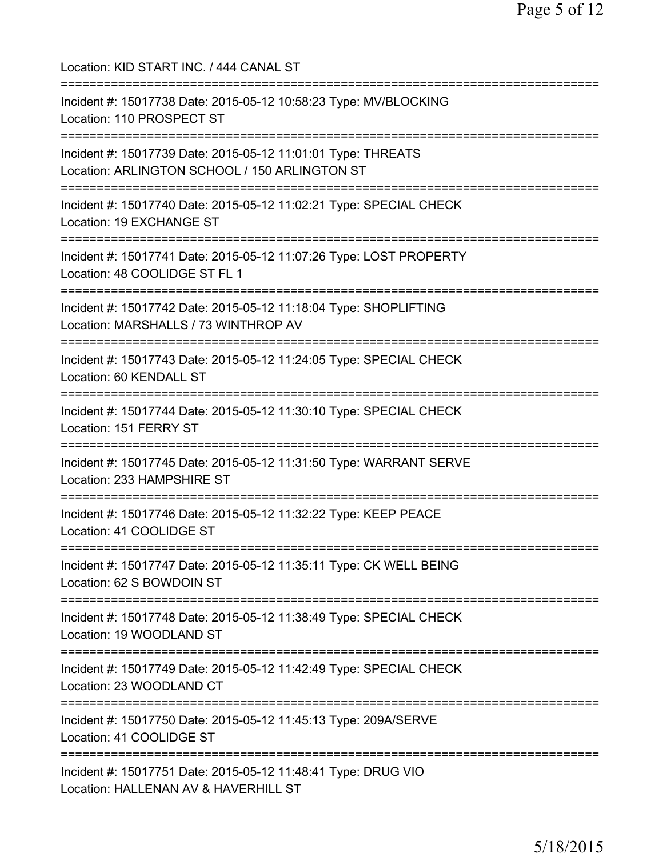| Location: KID START INC. / 444 CANAL ST<br>===========================                                                                      |
|---------------------------------------------------------------------------------------------------------------------------------------------|
| Incident #: 15017738 Date: 2015-05-12 10:58:23 Type: MV/BLOCKING<br>Location: 110 PROSPECT ST                                               |
| Incident #: 15017739 Date: 2015-05-12 11:01:01 Type: THREATS<br>Location: ARLINGTON SCHOOL / 150 ARLINGTON ST                               |
| Incident #: 15017740 Date: 2015-05-12 11:02:21 Type: SPECIAL CHECK<br>Location: 19 EXCHANGE ST<br>=================================         |
| Incident #: 15017741 Date: 2015-05-12 11:07:26 Type: LOST PROPERTY<br>Location: 48 COOLIDGE ST FL 1                                         |
| ===============================<br>Incident #: 15017742 Date: 2015-05-12 11:18:04 Type: SHOPLIFTING<br>Location: MARSHALLS / 73 WINTHROP AV |
| Incident #: 15017743 Date: 2015-05-12 11:24:05 Type: SPECIAL CHECK<br>Location: 60 KENDALL ST                                               |
| Incident #: 15017744 Date: 2015-05-12 11:30:10 Type: SPECIAL CHECK<br>Location: 151 FERRY ST                                                |
| Incident #: 15017745 Date: 2015-05-12 11:31:50 Type: WARRANT SERVE<br>Location: 233 HAMPSHIRE ST                                            |
| Incident #: 15017746 Date: 2015-05-12 11:32:22 Type: KEEP PEACE<br>Location: 41 COOLIDGE ST                                                 |
| Incident #: 15017747 Date: 2015-05-12 11:35:11 Type: CK WELL BEING<br>Location: 62 S BOWDOIN ST                                             |
| Incident #: 15017748 Date: 2015-05-12 11:38:49 Type: SPECIAL CHECK<br>Location: 19 WOODLAND ST                                              |
| =====================================<br>Incident #: 15017749 Date: 2015-05-12 11:42:49 Type: SPECIAL CHECK<br>Location: 23 WOODLAND CT     |
| =====================================<br>Incident #: 15017750 Date: 2015-05-12 11:45:13 Type: 209A/SERVE<br>Location: 41 COOLIDGE ST        |
| ============<br>Incident #: 15017751 Date: 2015-05-12 11:48:41 Type: DRUG VIO<br>Location: HALLENAN AV & HAVERHILL ST                       |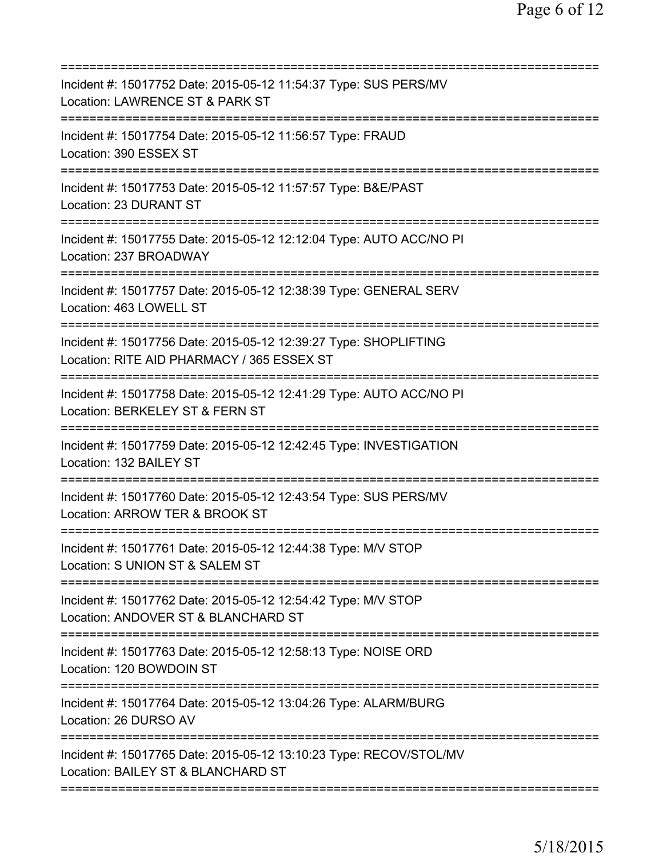| Incident #: 15017752 Date: 2015-05-12 11:54:37 Type: SUS PERS/MV<br>Location: LAWRENCE ST & PARK ST                                                      |
|----------------------------------------------------------------------------------------------------------------------------------------------------------|
| Incident #: 15017754 Date: 2015-05-12 11:56:57 Type: FRAUD<br>Location: 390 ESSEX ST                                                                     |
| Incident #: 15017753 Date: 2015-05-12 11:57:57 Type: B&E/PAST<br>Location: 23 DURANT ST                                                                  |
| Incident #: 15017755 Date: 2015-05-12 12:12:04 Type: AUTO ACC/NO PI<br>Location: 237 BROADWAY                                                            |
| ======================================<br>Incident #: 15017757 Date: 2015-05-12 12:38:39 Type: GENERAL SERV<br>Location: 463 LOWELL ST                   |
| Incident #: 15017756 Date: 2015-05-12 12:39:27 Type: SHOPLIFTING<br>Location: RITE AID PHARMACY / 365 ESSEX ST<br>====================================== |
| Incident #: 15017758 Date: 2015-05-12 12:41:29 Type: AUTO ACC/NO PI<br>Location: BERKELEY ST & FERN ST                                                   |
| Incident #: 15017759 Date: 2015-05-12 12:42:45 Type: INVESTIGATION<br>Location: 132 BAILEY ST                                                            |
| Incident #: 15017760 Date: 2015-05-12 12:43:54 Type: SUS PERS/MV<br>Location: ARROW TER & BROOK ST                                                       |
| Incident #: 15017761 Date: 2015-05-12 12:44:38 Type: M/V STOP<br>Location: S UNION ST & SALEM ST                                                         |
| Incident #: 15017762 Date: 2015-05-12 12:54:42 Type: M/V STOP<br>Location: ANDOVER ST & BLANCHARD ST                                                     |
| Incident #: 15017763 Date: 2015-05-12 12:58:13 Type: NOISE ORD<br>Location: 120 BOWDOIN ST                                                               |
| Incident #: 15017764 Date: 2015-05-12 13:04:26 Type: ALARM/BURG<br>Location: 26 DURSO AV                                                                 |
| Incident #: 15017765 Date: 2015-05-12 13:10:23 Type: RECOV/STOL/MV<br>Location: BAILEY ST & BLANCHARD ST                                                 |
|                                                                                                                                                          |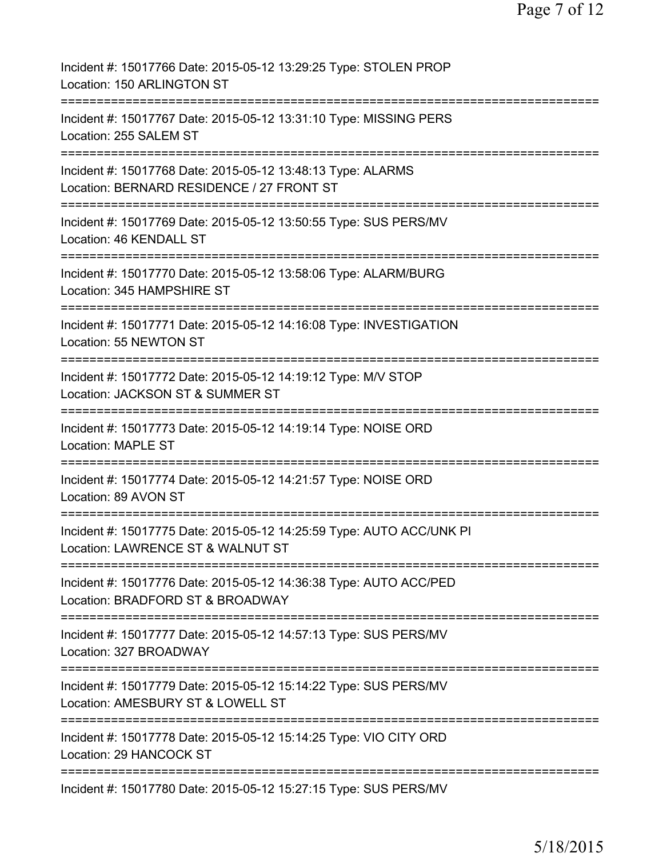| Incident #: 15017766 Date: 2015-05-12 13:29:25 Type: STOLEN PROP<br>Location: 150 ARLINGTON ST            |
|-----------------------------------------------------------------------------------------------------------|
| Incident #: 15017767 Date: 2015-05-12 13:31:10 Type: MISSING PERS<br>Location: 255 SALEM ST               |
| Incident #: 15017768 Date: 2015-05-12 13:48:13 Type: ALARMS<br>Location: BERNARD RESIDENCE / 27 FRONT ST  |
| Incident #: 15017769 Date: 2015-05-12 13:50:55 Type: SUS PERS/MV<br>Location: 46 KENDALL ST               |
| Incident #: 15017770 Date: 2015-05-12 13:58:06 Type: ALARM/BURG<br>Location: 345 HAMPSHIRE ST             |
| Incident #: 15017771 Date: 2015-05-12 14:16:08 Type: INVESTIGATION<br>Location: 55 NEWTON ST              |
| Incident #: 15017772 Date: 2015-05-12 14:19:12 Type: M/V STOP<br>Location: JACKSON ST & SUMMER ST         |
| Incident #: 15017773 Date: 2015-05-12 14:19:14 Type: NOISE ORD<br><b>Location: MAPLE ST</b>               |
| Incident #: 15017774 Date: 2015-05-12 14:21:57 Type: NOISE ORD<br>Location: 89 AVON ST                    |
| Incident #: 15017775 Date: 2015-05-12 14:25:59 Type: AUTO ACC/UNK PI<br>Location: LAWRENCE ST & WALNUT ST |
| Incident #: 15017776 Date: 2015-05-12 14:36:38 Type: AUTO ACC/PED<br>Location: BRADFORD ST & BROADWAY     |
| Incident #: 15017777 Date: 2015-05-12 14:57:13 Type: SUS PERS/MV<br>Location: 327 BROADWAY                |
| Incident #: 15017779 Date: 2015-05-12 15:14:22 Type: SUS PERS/MV<br>Location: AMESBURY ST & LOWELL ST     |
| Incident #: 15017778 Date: 2015-05-12 15:14:25 Type: VIO CITY ORD<br>Location: 29 HANCOCK ST              |
| Incident #: 15017780 Date: 2015-05-12 15:27:15 Type: SUS PERS/MV                                          |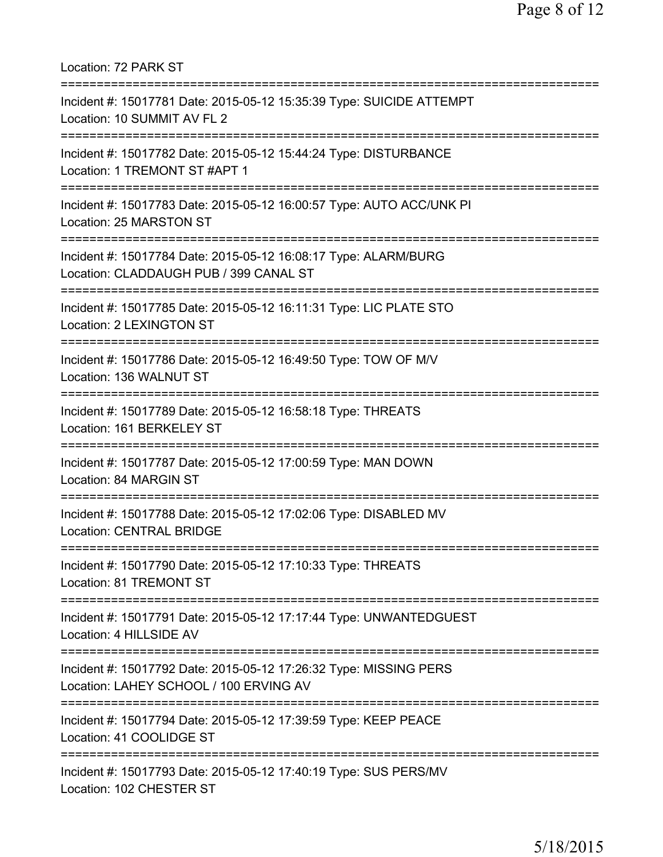Location: 72 PARK ST =========================================================================== Incident #: 15017781 Date: 2015-05-12 15:35:39 Type: SUICIDE ATTEMPT Location: 10 SUMMIT AV FL 2 =========================================================================== Incident #: 15017782 Date: 2015-05-12 15:44:24 Type: DISTURBANCE Location: 1 TREMONT ST #APT 1 =========================================================================== Incident #: 15017783 Date: 2015-05-12 16:00:57 Type: AUTO ACC/UNK PI Location: 25 MARSTON ST =========================================================================== Incident #: 15017784 Date: 2015-05-12 16:08:17 Type: ALARM/BURG Location: CLADDAUGH PUB / 399 CANAL ST =========================================================================== Incident #: 15017785 Date: 2015-05-12 16:11:31 Type: LIC PLATE STO Location: 2 LEXINGTON ST =========================================================================== Incident #: 15017786 Date: 2015-05-12 16:49:50 Type: TOW OF M/V Location: 136 WALNUT ST =========================================================================== Incident #: 15017789 Date: 2015-05-12 16:58:18 Type: THREATS Location: 161 BERKELEY ST =========================================================================== Incident #: 15017787 Date: 2015-05-12 17:00:59 Type: MAN DOWN Location: 84 MARGIN ST =========================================================================== Incident #: 15017788 Date: 2015-05-12 17:02:06 Type: DISABLED MV Location: CENTRAL BRIDGE =========================================================================== Incident #: 15017790 Date: 2015-05-12 17:10:33 Type: THREATS Location: 81 TREMONT ST =========================================================================== Incident #: 15017791 Date: 2015-05-12 17:17:44 Type: UNWANTEDGUEST Location: 4 HILLSIDE AV =========================================================================== Incident #: 15017792 Date: 2015-05-12 17:26:32 Type: MISSING PERS Location: LAHEY SCHOOL / 100 ERVING AV =========================================================================== Incident #: 15017794 Date: 2015-05-12 17:39:59 Type: KEEP PEACE Location: 41 COOLIDGE ST =========================================================================== Incident #: 15017793 Date: 2015-05-12 17:40:19 Type: SUS PERS/MV Location: 102 CHESTER ST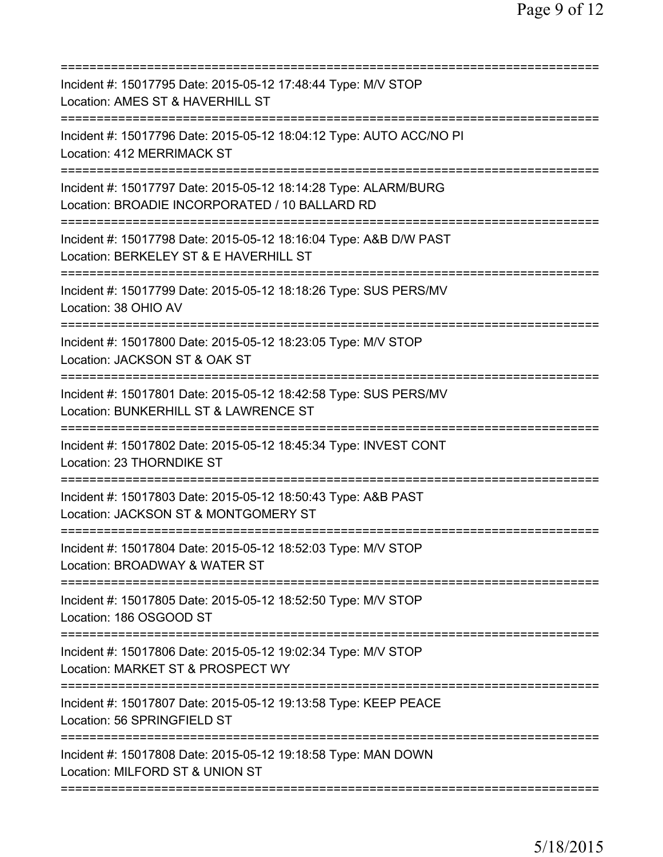| Incident #: 15017795 Date: 2015-05-12 17:48:44 Type: M/V STOP<br>Location: AMES ST & HAVERHILL ST                 |
|-------------------------------------------------------------------------------------------------------------------|
| Incident #: 15017796 Date: 2015-05-12 18:04:12 Type: AUTO ACC/NO PI<br>Location: 412 MERRIMACK ST                 |
| Incident #: 15017797 Date: 2015-05-12 18:14:28 Type: ALARM/BURG<br>Location: BROADIE INCORPORATED / 10 BALLARD RD |
| Incident #: 15017798 Date: 2015-05-12 18:16:04 Type: A&B D/W PAST<br>Location: BERKELEY ST & E HAVERHILL ST       |
| Incident #: 15017799 Date: 2015-05-12 18:18:26 Type: SUS PERS/MV<br>Location: 38 OHIO AV                          |
| Incident #: 15017800 Date: 2015-05-12 18:23:05 Type: M/V STOP<br>Location: JACKSON ST & OAK ST                    |
| Incident #: 15017801 Date: 2015-05-12 18:42:58 Type: SUS PERS/MV<br>Location: BUNKERHILL ST & LAWRENCE ST         |
| Incident #: 15017802 Date: 2015-05-12 18:45:34 Type: INVEST CONT<br>Location: 23 THORNDIKE ST<br>===============  |
| Incident #: 15017803 Date: 2015-05-12 18:50:43 Type: A&B PAST<br>Location: JACKSON ST & MONTGOMERY ST             |
| Incident #: 15017804 Date: 2015-05-12 18:52:03 Type: M/V STOP<br>Location: BROADWAY & WATER ST                    |
| Incident #: 15017805 Date: 2015-05-12 18:52:50 Type: M/V STOP<br>Location: 186 OSGOOD ST                          |
| Incident #: 15017806 Date: 2015-05-12 19:02:34 Type: M/V STOP<br>Location: MARKET ST & PROSPECT WY                |
| Incident #: 15017807 Date: 2015-05-12 19:13:58 Type: KEEP PEACE<br>Location: 56 SPRINGFIELD ST                    |
| Incident #: 15017808 Date: 2015-05-12 19:18:58 Type: MAN DOWN<br>Location: MILFORD ST & UNION ST                  |
|                                                                                                                   |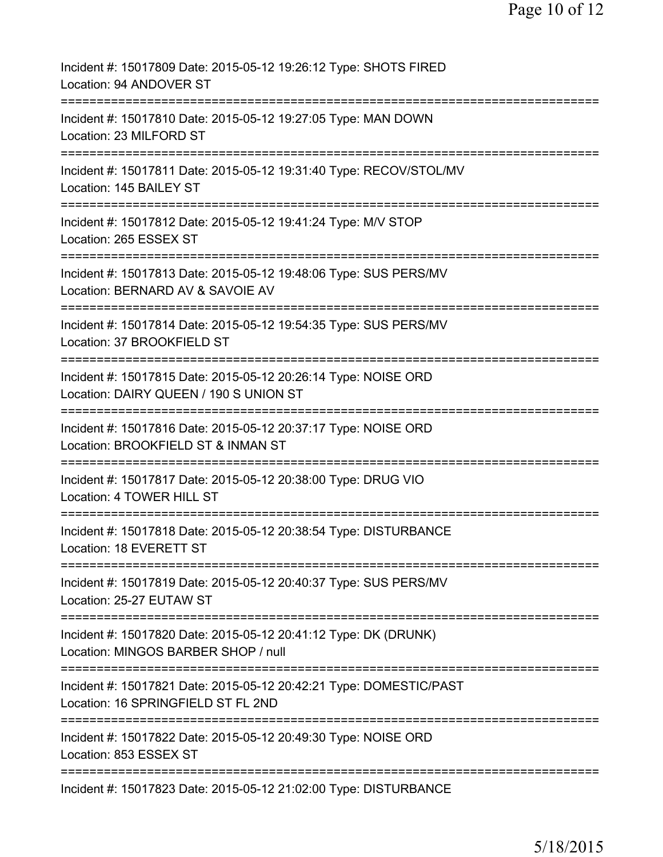| Incident #: 15017809 Date: 2015-05-12 19:26:12 Type: SHOTS FIRED<br>Location: 94 ANDOVER ST                                 |
|-----------------------------------------------------------------------------------------------------------------------------|
| Incident #: 15017810 Date: 2015-05-12 19:27:05 Type: MAN DOWN<br>Location: 23 MILFORD ST                                    |
| Incident #: 15017811 Date: 2015-05-12 19:31:40 Type: RECOV/STOL/MV<br>Location: 145 BAILEY ST                               |
| Incident #: 15017812 Date: 2015-05-12 19:41:24 Type: M/V STOP<br>Location: 265 ESSEX ST                                     |
| Incident #: 15017813 Date: 2015-05-12 19:48:06 Type: SUS PERS/MV<br>Location: BERNARD AV & SAVOIE AV                        |
| =========================<br>Incident #: 15017814 Date: 2015-05-12 19:54:35 Type: SUS PERS/MV<br>Location: 37 BROOKFIELD ST |
| ----------<br>Incident #: 15017815 Date: 2015-05-12 20:26:14 Type: NOISE ORD<br>Location: DAIRY QUEEN / 190 S UNION ST      |
| Incident #: 15017816 Date: 2015-05-12 20:37:17 Type: NOISE ORD<br>Location: BROOKFIELD ST & INMAN ST                        |
| Incident #: 15017817 Date: 2015-05-12 20:38:00 Type: DRUG VIO<br>Location: 4 TOWER HILL ST                                  |
| Incident #: 15017818 Date: 2015-05-12 20:38:54 Type: DISTURBANCE<br>Location: 18 EVERETT ST                                 |
| Incident #: 15017819 Date: 2015-05-12 20:40:37 Type: SUS PERS/MV<br>Location: 25-27 EUTAW ST                                |
| Incident #: 15017820 Date: 2015-05-12 20:41:12 Type: DK (DRUNK)<br>Location: MINGOS BARBER SHOP / null                      |
| Incident #: 15017821 Date: 2015-05-12 20:42:21 Type: DOMESTIC/PAST<br>Location: 16 SPRINGFIELD ST FL 2ND                    |
| Incident #: 15017822 Date: 2015-05-12 20:49:30 Type: NOISE ORD<br>Location: 853 ESSEX ST                                    |
| Incident #: 15017823 Date: 2015-05-12 21:02:00 Type: DISTURBANCE                                                            |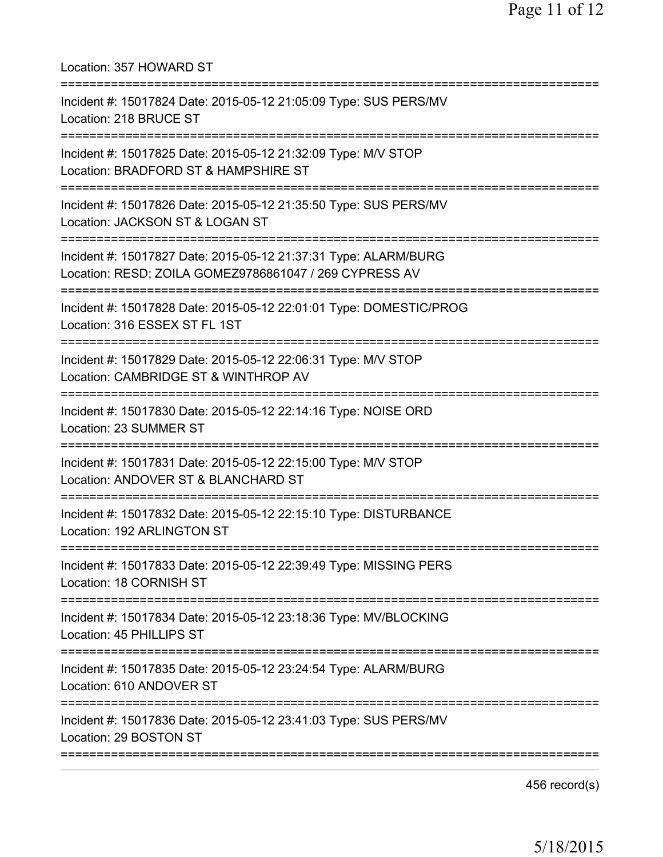| Location: 357 HOWARD ST                                                                                                                                    |
|------------------------------------------------------------------------------------------------------------------------------------------------------------|
| Incident #: 15017824 Date: 2015-05-12 21:05:09 Type: SUS PERS/MV<br>Location: 218 BRUCE ST                                                                 |
| Incident #: 15017825 Date: 2015-05-12 21:32:09 Type: M/V STOP<br>Location: BRADFORD ST & HAMPSHIRE ST<br>.===================================              |
| Incident #: 15017826 Date: 2015-05-12 21:35:50 Type: SUS PERS/MV<br>Location: JACKSON ST & LOGAN ST<br>--------------------------                          |
| Incident #: 15017827 Date: 2015-05-12 21:37:31 Type: ALARM/BURG<br>Location: RESD; ZOILA GOMEZ9786861047 / 269 CYPRESS AV<br>============================= |
| Incident #: 15017828 Date: 2015-05-12 22:01:01 Type: DOMESTIC/PROG<br>Location: 316 ESSEX ST FL 1ST                                                        |
| Incident #: 15017829 Date: 2015-05-12 22:06:31 Type: M/V STOP<br>Location: CAMBRIDGE ST & WINTHROP AV                                                      |
| Incident #: 15017830 Date: 2015-05-12 22:14:16 Type: NOISE ORD<br>Location: 23 SUMMER ST                                                                   |
| Incident #: 15017831 Date: 2015-05-12 22:15:00 Type: M/V STOP<br>Location: ANDOVER ST & BLANCHARD ST                                                       |
| Incident #: 15017832 Date: 2015-05-12 22:15:10 Type: DISTURBANCE<br>Location: 192 ARLINGTON ST                                                             |
| Incident #: 15017833 Date: 2015-05-12 22:39:49 Type: MISSING PERS<br>Location: 18 CORNISH ST                                                               |
| Incident #: 15017834 Date: 2015-05-12 23:18:36 Type: MV/BLOCKING<br>Location: 45 PHILLIPS ST                                                               |
| ;===================================<br>Incident #: 15017835 Date: 2015-05-12 23:24:54 Type: ALARM/BURG<br>Location: 610 ANDOVER ST                        |
| ===================<br>Incident #: 15017836 Date: 2015-05-12 23:41:03 Type: SUS PERS/MV<br>Location: 29 BOSTON ST                                          |
|                                                                                                                                                            |

456 record(s)